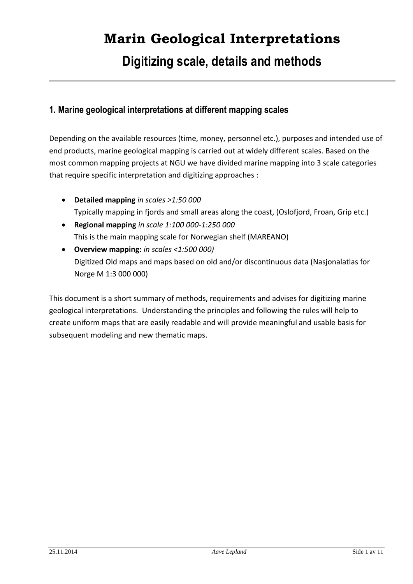# **Marin Geological Interpretations Digitizing scale, details and methods**

## **1. Marine geological interpretations at different mapping scales**

Depending on the available resources (time, money, personnel etc.), purposes and intended use of end products, marine geological mapping is carried out at widely different scales. Based on the most common mapping projects at NGU we have divided marine mapping into 3 scale categories that require specific interpretation and digitizing approaches :

- **Detailed mapping** *in scales >1:50 000* Typically mapping in fjords and small areas along the coast, (Oslofjord, Froan, Grip etc.)
- **Regional mapping** *in scale 1:100 000-1:250 000* This is the main mapping scale for Norwegian shelf (MAREANO)
- **Overview mapping:** *in scales <1:500 000)* Digitized Old maps and maps based on old and/or discontinuous data (Nasjonalatlas for Norge M 1:3 000 000)

This document is a short summary of methods, requirements and advises for digitizing marine geological interpretations. Understanding the principles and following the rules will help to create uniform maps that are easily readable and will provide meaningful and usable basis for subsequent modeling and new thematic maps.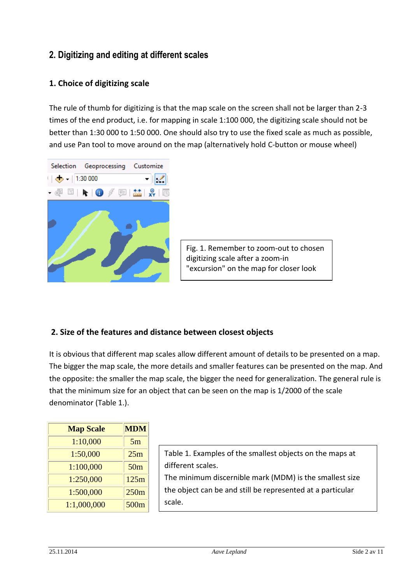## **2. Digitizing and editing at different scales**

#### **1. Choice of digitizing scale**

The rule of thumb for digitizing is that the map scale on the screen shall not be larger than 2-3 times of the end product, i.e. for mapping in scale 1:100 000, the digitizing scale should not be better than 1:30 000 to 1:50 000. One should also try to use the fixed scale as much as possible, and use Pan tool to move around on the map (alternatively hold C-button or mouse wheel)



Fig. 1. Remember to zoom-out to chosen digitizing scale after a zoom-in "excursion" on the map for closer look

#### **2. Size of the features and distance between closest objects**

It is obvious that different map scales allow different amount of details to be presented on a map. The bigger the map scale, the more details and smaller features can be presented on the map. And the opposite: the smaller the map scale, the bigger the need for generalization. The general rule is that the minimum size for an object that can be seen on the map is 1/2000 of the scale denominator (Table 1.).

| <b>Map Scale</b> | <b>MDM</b>      |
|------------------|-----------------|
| 1:10,000         | 5m              |
| 1:50,000         | 25m             |
| 1:100,000        | 50 <sub>m</sub> |
| 1:250,000        | 125m            |
| 1:500,000        | 250m            |
| 1:1,000,000      | 500m            |

| Table 1. Examples of the smallest objects on the maps at   |
|------------------------------------------------------------|
| different scales.                                          |
| The minimum discernible mark (MDM) is the smallest size    |
| the object can be and still be represented at a particular |
| scale.                                                     |
|                                                            |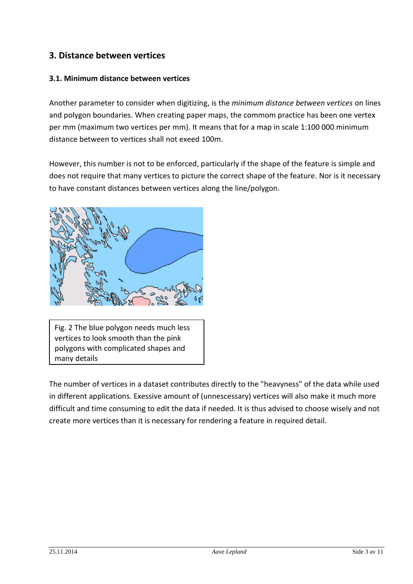## **3. Distance between vertices**

#### **3.1. Minimum distance between vertices**

Another parameter to consider when digitizing, is the *minimum distance between vertices* on lines and polygon boundaries. When creating paper maps, the commom practice has been one vertex per mm (maximum two vertices per mm). It means that for a map in scale 1:100 000 minimum distance between to vertices shall not exeed 100m.

However, this number is not to be enforced, particularly if the shape of the feature is simple and does not require that many vertices to picture the correct shape of the feature. Nor is it necessary to have constant distances between vertices along the line/polygon.



Fig. 2 The blue polygon needs much less vertices to look smooth than the pink polygons with complicated shapes and many details

The number of vertices in a dataset contributes directly to the "heavyness" of the data while used in different applications. Exessive amount of (unnescessary) vertices will also make it much more difficult and time consuming to edit the data if needed. It is thus advised to choose wisely and not create more vertices than it is necessary for rendering a feature in required detail.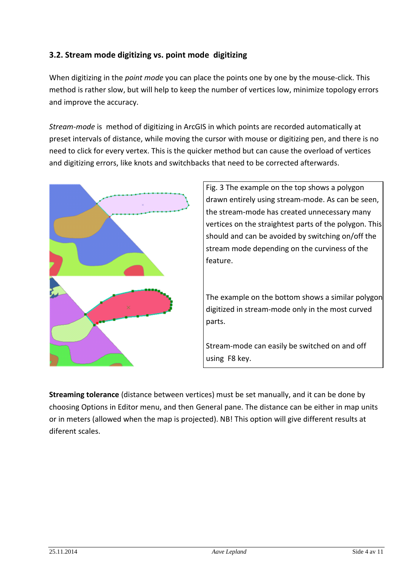## **3.2. Stream mode digitizing vs. point mode digitizing**

When digitizing in the *point mode* you can place the points one by one by the mouse-click. This method is rather slow, but will help to keep the number of vertices low, minimize topology errors and improve the accuracy.

*Stream-mode* is method of digitizing in ArcGIS in which points are recorded automatically at preset intervals of distance, while moving the cursor with mouse or digitizing pen, and there is no need to click for every vertex. This is the quicker method but can cause the overload of vertices and digitizing errors, like knots and switchbacks that need to be corrected afterwards.



Fig. 3 The example on the top shows a polygon drawn entirely using stream-mode. As can be seen, the stream-mode has created unnecessary many vertices on the straightest parts of the polygon. This should and can be avoided by switching on/off the stream mode depending on the curviness of the feature.

The example on the bottom shows a similar polygon digitized in stream-mode only in the most curved parts.

Stream-mode can easily be switched on and off using F8 key.

**Streaming tolerance** (distance between vertices) must be set manually, and it can be done by choosing Options in Editor menu, and then General pane. The distance can be either in map units or in meters (allowed when the map is projected). NB! This option will give different results at diferent scales.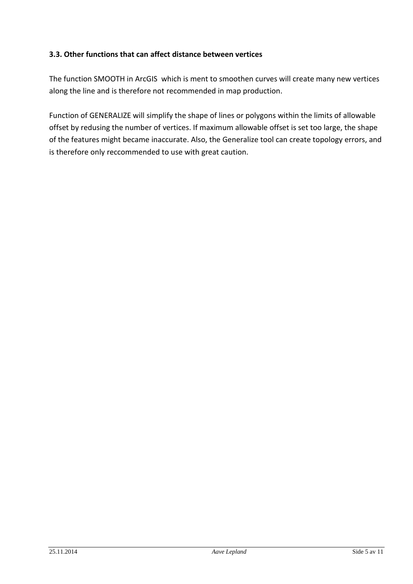#### **3.3. Other functions that can affect distance between vertices**

The function SMOOTH in ArcGIS which is ment to smoothen curves will create many new vertices along the line and is therefore not recommended in map production.

Function of GENERALIZE will simplify the shape of lines or polygons within the limits of allowable offset by redusing the number of vertices. If maximum allowable offset is set too large, the shape of the features might became inaccurate. Also, the Generalize tool can create topology errors, and is therefore only reccommended to use with great caution.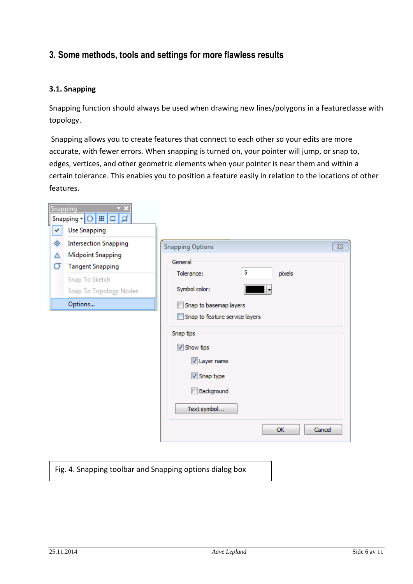## **3. Some methods, tools and settings for more flawless results**

#### **3.1. Snapping**

Snapping function should always be used when drawing new lines/polygons in a featureclasse with topology.

Snapping allows you to create features that connect to each other so your edits are more accurate, with fewer errors. When snapping is turned on, your pointer will jump, or snap to, edges, vertices, and other geometric elements when your pointer is near them and within a certain tolerance. This enables you to position a feature easily in relation to the locations of other features.

| Snapping     | Snapping ▼   ○   田   □   ゴ                                                                                                                        |                                                                                                                                                          |
|--------------|---------------------------------------------------------------------------------------------------------------------------------------------------|----------------------------------------------------------------------------------------------------------------------------------------------------------|
| $\checkmark$ | <b>Use Snapping</b>                                                                                                                               |                                                                                                                                                          |
| ◈<br>Δ<br>σ  | <b>Intersection Snapping</b><br><b>Midpoint Snapping</b><br><b>Tangent Snapping</b><br>Snap To Sketch<br><b>Snap To Topology Nodes</b><br>Options | <b>Snapping Options</b><br>$\Sigma$<br>General<br>5<br>pixels<br>Tolerance:<br>Symbol color:<br>Snap to basemap layers<br>Snap to feature service layers |
|              |                                                                                                                                                   | Snap tips<br>Show tips<br>Layer name<br>Snap type<br>Background<br>Text symbol<br>Cancel<br><b>OK</b>                                                    |

Fig. 4. Snapping toolbar and Snapping options dialog box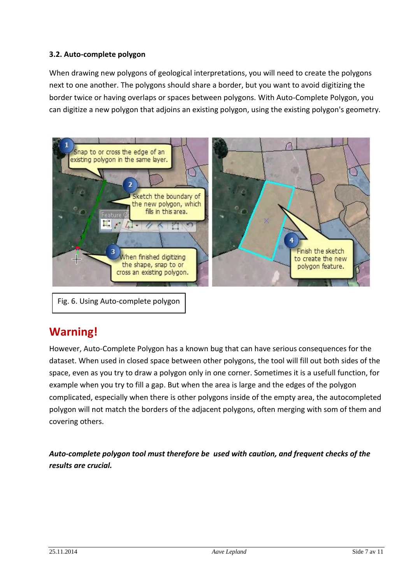#### **3.2. Auto-complete polygon**

When drawing new polygons of geological interpretations, you will need to create the polygons next to one another. The polygons should share a border, but you want to avoid digitizing the border twice or having overlaps or spaces between polygons. With Auto-Complete Polygon, you can digitize a new polygon that adjoins an existing polygon, using the existing polygon's geometry.



Fig. 6. Using Auto-complete polygon

## **Warning!**

However, Auto-Complete Polygon has a known bug that can have serious consequences for the dataset. When used in closed space between other polygons, the tool will fill out both sides of the space, even as you try to draw a polygon only in one corner. Sometimes it is a usefull function, for example when you try to fill a gap. But when the area is large and the edges of the polygon complicated, especially when there is other polygons inside of the empty area, the autocompleted polygon will not match the borders of the adjacent polygons, often merging with som of them and covering others.

*Auto-complete polygon tool must therefore be used with caution, and frequent checks of the results are crucial.*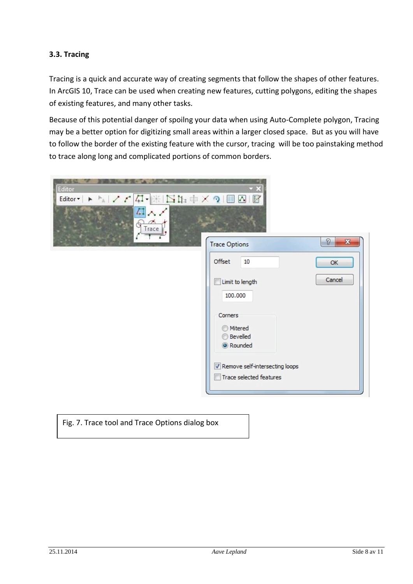#### **3.3. Tracing**

Tracing is a quick and accurate way of creating segments that follow the shapes of other features. In ArcGIS 10, Trace can be used when creating new features, cutting polygons, editing the shapes of existing features, and many other tasks.

Because of this potential danger of spoilng your data when using Auto-Complete polygon, Tracing may be a better option for digitizing small areas within a larger closed space. But as you will have to follow the border of the existing feature with the cursor, tracing will be too painstaking method to trace along long and complicated portions of common borders.

| Editor<br>$\overline{L}$<br>ヘノ<br>Trace   |                                                                  |  |  |  |
|-------------------------------------------|------------------------------------------------------------------|--|--|--|
| P<br>$\mathbf{x}$<br><b>Trace Options</b> |                                                                  |  |  |  |
|                                           | Offset<br>10<br>OK                                               |  |  |  |
|                                           | Cancel<br>Limit to length<br>100.000                             |  |  |  |
|                                           | Corners<br><b>Mitered</b><br><b>Bevelled</b><br>Rounded          |  |  |  |
|                                           | V Remove self-intersecting loops<br>Trace selected features<br>п |  |  |  |

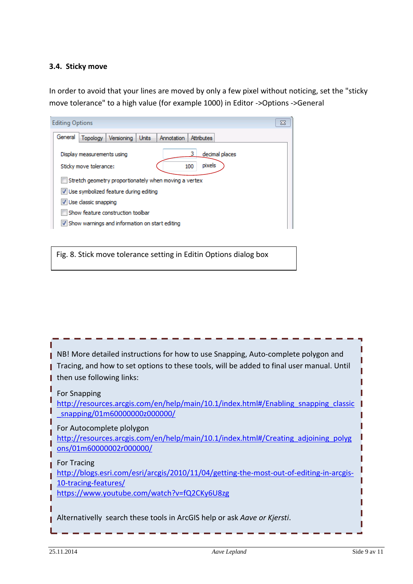#### **3.4. Sticky move**

In order to avoid that your lines are moved by only a few pixel without noticing, set the "sticky move tolerance" to a high value (for example 1000) in Editor ->Options ->General

| <b>Editing Options</b><br>ΣS                                                            |  |  |
|-----------------------------------------------------------------------------------------|--|--|
| General<br>Topology<br>Attributes<br>Versioning<br>Units<br>Annotation                  |  |  |
| decimal places<br>Display measurements using<br>pixels<br>Sticky move tolerance:<br>100 |  |  |
| Stretch geometry proportionately when moving a vertex                                   |  |  |
| V Use symbolized feature during editing                                                 |  |  |
| V Use classic snapping                                                                  |  |  |
| Show feature construction toolbar                                                       |  |  |
| V Show warnings and information on start editing                                        |  |  |

Fig. 8. Stick move tolerance setting in Editin Options dialog box

| NB! More detailed instructions for how to use Snapping, Auto-complete polygon and<br>Tracing, and how to set options to these tools, will be added to final user manual. Until<br>then use following links: |
|-------------------------------------------------------------------------------------------------------------------------------------------------------------------------------------------------------------|
| For Snapping<br>http://resources.arcgis.com/en/help/main/10.1/index.html#/Enabling snapping classic<br>snapping/01m6000000020000000                                                                         |
| For Autocomplete plolygon<br>http://resources.arcgis.com/en/help/main/10.1/index.html#/Creating adjoining polyg<br>ons/01m60000002r000000/                                                                  |
| For Tracing<br>http://blogs.esri.com/esri/arcgis/2010/11/04/getting-the-most-out-of-editing-in-arcgis-<br>10-tracing-features/<br>https://www.youtube.com/watch?v=fQ2CKy6U8zg                               |
| Alternativelly search these tools in ArcGIS help or ask Aave or Kjersti.                                                                                                                                    |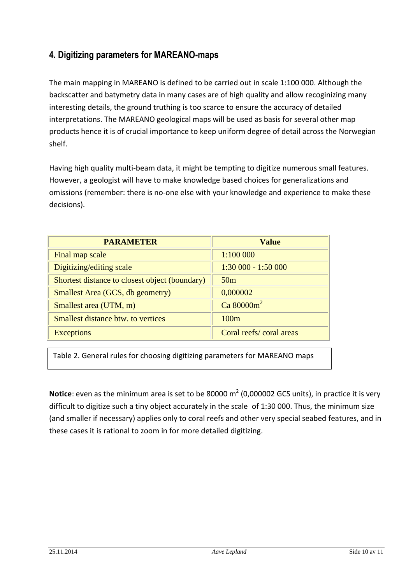## **4. Digitizing parameters for MAREANO-maps**

The main mapping in MAREANO is defined to be carried out in scale 1:100 000. Although the backscatter and batymetry data in many cases are of high quality and allow recoginizing many interesting details, the ground truthing is too scarce to ensure the accuracy of detailed interpretations. The MAREANO geological maps will be used as basis for several other map products hence it is of crucial importance to keep uniform degree of detail across the Norwegian shelf.

Having high quality multi-beam data, it might be tempting to digitize numerous small features. However, a geologist will have to make knowledge based choices for generalizations and omissions (remember: there is no-one else with your knowledge and experience to make these decisions).

| <b>PARAMETER</b>                               | <b>Value</b>            |
|------------------------------------------------|-------------------------|
| Final map scale                                | 1:100 000               |
| Digitizing/editing scale                       | $1:30000 - 1:50000$     |
| Shortest distance to closest object (boundary) | 50 <sub>m</sub>         |
| Smallest Area (GCS, db geometry)               | 0,000002                |
| Smallest area (UTM, m)                         | Ca $80000m^2$           |
| <b>Smallest distance btw. to vertices</b>      | 100m                    |
| <b>Exceptions</b>                              | Coral reefs/coral areas |

Table 2. General rules for choosing digitizing parameters for MAREANO maps

**Notice**: even as the minimum area is set to be 80000 m<sup>2</sup> (0,000002 GCS units), in practice it is very difficult to digitize such a tiny object accurately in the scale of 1:30 000. Thus, the minimum size (and smaller if necessary) applies only to coral reefs and other very special seabed features, and in these cases it is rational to zoom in for more detailed digitizing.